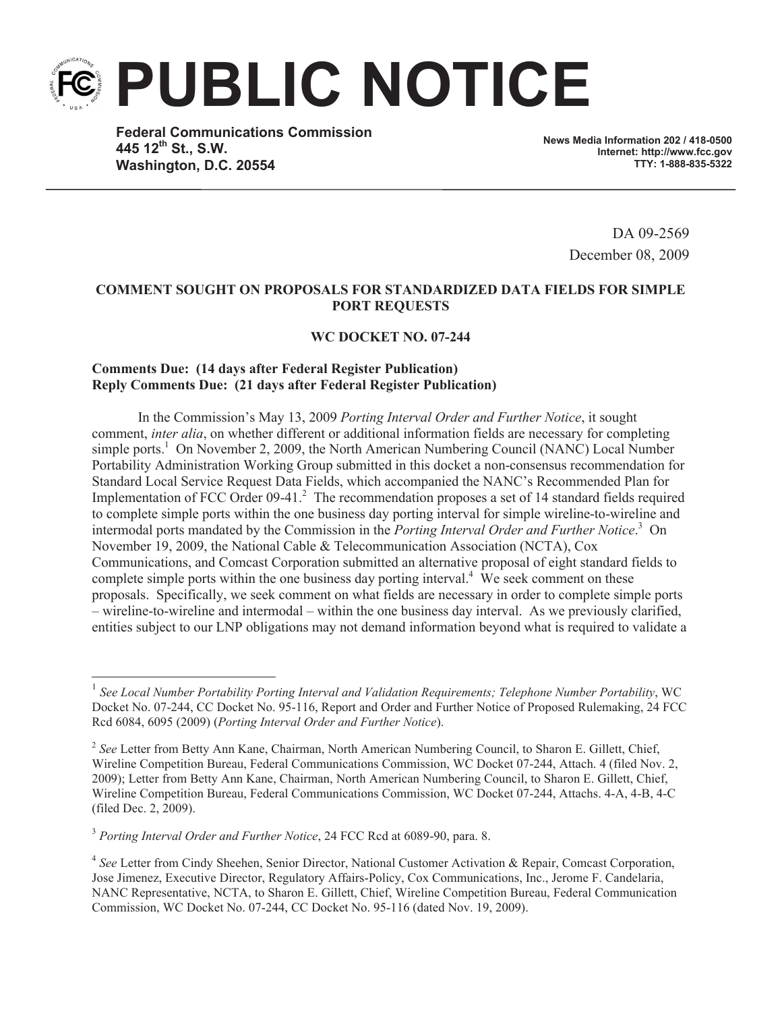**PUBLIC NOTICE**

**Federal Communications Commission 445 12 th St., S.W. Washington, D.C. 20554**

**News Media Information 202 / 418-0500 Internet: http://www.fcc.gov TTY: 1-888-835-5322**

> DA 09-2569 December 08, 2009

## **COMMENT SOUGHT ON PROPOSALS FOR STANDARDIZED DATA FIELDS FOR SIMPLE PORT REQUESTS**

## **WC DOCKET NO. 07-244**

## **Comments Due: (14 days after Federal Register Publication) Reply Comments Due: (21 days after Federal Register Publication)**

In the Commission's May 13, 2009 *Porting Interval Order and Further Notice*, it sought comment, *inter alia*, on whether different or additional information fields are necessary for completing simple ports.<sup>1</sup> On November 2, 2009, the North American Numbering Council (NANC) Local Number Portability Administration Working Group submitted in this docket a non-consensus recommendation for Standard Local Service Request Data Fields, which accompanied the NANC's Recommended Plan for Implementation of FCC Order 09-41. $^2$  The recommendation proposes a set of 14 standard fields required to complete simple ports within the one business day porting interval for simple wireline-to-wireline and intermodal ports mandated by the Commission in the *Porting Interval Order and Further Notice*. <sup>3</sup> On November 19, 2009, the National Cable & Telecommunication Association (NCTA), Cox Communications, and Comcast Corporation submitted an alternative proposal of eight standard fields to complete simple ports within the one business day porting interval.<sup>4</sup> We seek comment on these proposals. Specifically, we seek comment on what fields are necessary in order to complete simple ports – wireline-to-wireline and intermodal – within the one business day interval. As we previously clarified, entities subject to our LNP obligations may not demand information beyond what is required to validate a

<sup>3</sup> *Porting Interval Order and Further Notice*, 24 FCC Rcd at 6089-90, para. 8.

<sup>&</sup>lt;sup>1</sup> See Local Number Portability Porting Interval and Validation Requirements; Telephone Number Portability, WC Docket No. 07-244, CC Docket No. 95-116, Report and Order and Further Notice of Proposed Rulemaking, 24 FCC Rcd 6084, 6095 (2009) (*Porting Interval Order and Further Notice*).

<sup>&</sup>lt;sup>2</sup> See Letter from Betty Ann Kane, Chairman, North American Numbering Council, to Sharon E. Gillett, Chief, Wireline Competition Bureau, Federal Communications Commission, WC Docket 07-244, Attach. 4 (filed Nov. 2, 2009); Letter from Betty Ann Kane, Chairman, North American Numbering Council, to Sharon E. Gillett, Chief, Wireline Competition Bureau, Federal Communications Commission, WC Docket 07-244, Attachs. 4-A, 4-B, 4-C (filed Dec. 2, 2009).

<sup>&</sup>lt;sup>4</sup> See Letter from Cindy Sheehen, Senior Director, National Customer Activation & Repair, Comcast Corporation, Jose Jimenez, Executive Director, Regulatory Affairs-Policy, Cox Communications, Inc., Jerome F. Candelaria, NANC Representative, NCTA, to Sharon E. Gillett, Chief, Wireline Competition Bureau, Federal Communication Commission, WC Docket No. 07-244, CC Docket No. 95-116 (dated Nov. 19, 2009).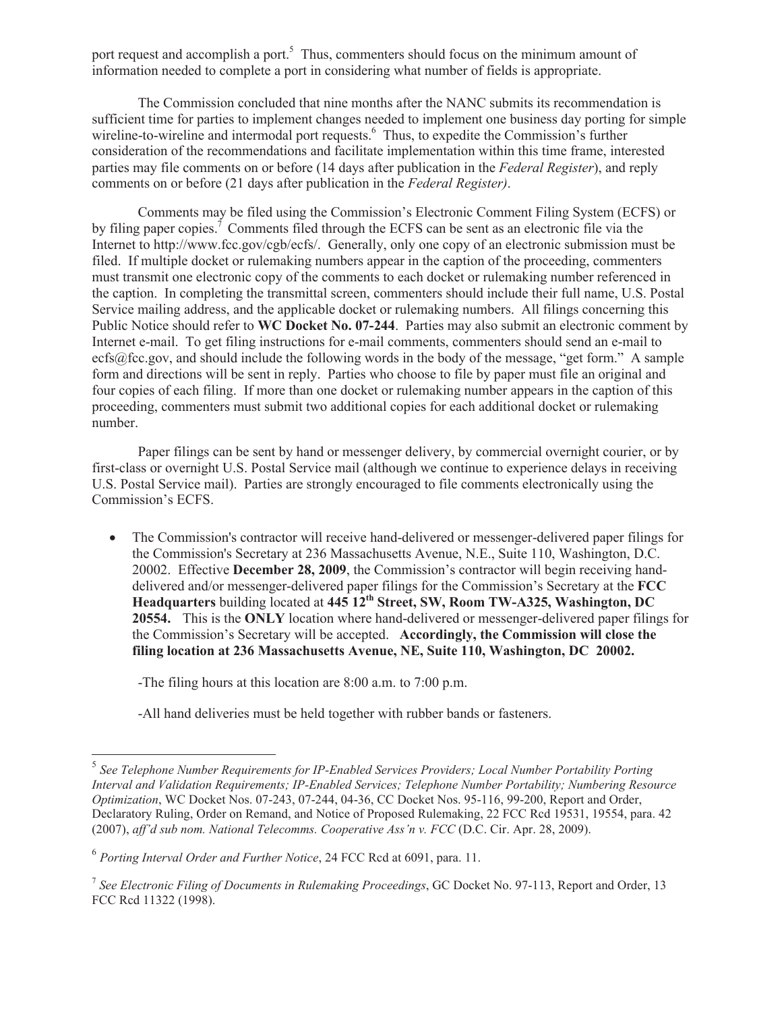port request and accomplish a port.<sup>5</sup> Thus, commenters should focus on the minimum amount of information needed to complete a port in considering what number of fields is appropriate.

The Commission concluded that nine months after the NANC submits its recommendation is sufficient time for parties to implement changes needed to implement one business day porting for simple wireline-to-wireline and intermodal port requests.<sup>6</sup> Thus, to expedite the Commission's further consideration of the recommendations and facilitate implementation within this time frame, interested parties may file comments on or before (14 days after publication in the *Federal Register*), and reply comments on or before (21 days after publication in the *Federal Register)*.

Comments may be filed using the Commission's Electronic Comment Filing System (ECFS) or by filing paper copies.<sup>7</sup> Comments filed through the ECFS can be sent as an electronic file via the Internet to http://www.fcc.gov/cgb/ecfs/. Generally, only one copy of an electronic submission must be filed. If multiple docket or rulemaking numbers appear in the caption of the proceeding, commenters must transmit one electronic copy of the comments to each docket or rulemaking number referenced in the caption. In completing the transmittal screen, commenters should include their full name, U.S. Postal Service mailing address, and the applicable docket or rulemaking numbers. All filings concerning this Public Notice should refer to **WC Docket No. 07-244**. Parties may also submit an electronic comment by Internet e-mail. To get filing instructions for e-mail comments, commenters should send an e-mail to ecfs@fcc.gov, and should include the following words in the body of the message, "get form." A sample form and directions will be sent in reply. Parties who choose to file by paper must file an original and four copies of each filing. If more than one docket or rulemaking number appears in the caption of this proceeding, commenters must submit two additional copies for each additional docket or rulemaking number.

Paper filings can be sent by hand or messenger delivery, by commercial overnight courier, or by first-class or overnight U.S. Postal Service mail (although we continue to experience delays in receiving U.S. Postal Service mail). Parties are strongly encouraged to file comments electronically using the Commission's ECFS.

• The Commission's contractor will receive hand-delivered or messenger-delivered paper filings for the Commission's Secretary at 236 Massachusetts Avenue, N.E., Suite 110, Washington, D.C. 20002. Effective **December 28, 2009**, the Commission's contractor will begin receiving handdelivered and/or messenger-delivered paper filings for the Commission's Secretary at the **FCC Headquarters** building located at **445 12th Street, SW, Room TW-A325, Washington, DC 20554.** This is the **ONLY** location where hand-delivered or messenger-delivered paper filings for the Commission's Secretary will be accepted. **Accordingly, the Commission will close the filing location at 236 Massachusetts Avenue, NE, Suite 110, Washington, DC 20002.**

-The filing hours at this location are 8:00 a.m. to 7:00 p.m.

-All hand deliveries must be held together with rubber bands or fasteners.

<sup>5</sup> *See Telephone Number Requirements for IP-Enabled Services Providers; Local Number Portability Porting Interval and Validation Requirements; IP-Enabled Services; Telephone Number Portability; Numbering Resource Optimization*, WC Docket Nos. 07-243, 07-244, 04-36, CC Docket Nos. 95-116, 99-200, Report and Order, Declaratory Ruling, Order on Remand, and Notice of Proposed Rulemaking, 22 FCC Rcd 19531, 19554, para. 42 (2007), *aff'd sub nom. National Telecomms. Cooperative Ass'n v. FCC* (D.C. Cir. Apr. 28, 2009).

<sup>6</sup> *Porting Interval Order and Further Notice*, 24 FCC Rcd at 6091, para. 11.

<sup>7</sup> *See Electronic Filing of Documents in Rulemaking Proceedings*, GC Docket No. 97-113, Report and Order, 13 FCC Rcd 11322 (1998).